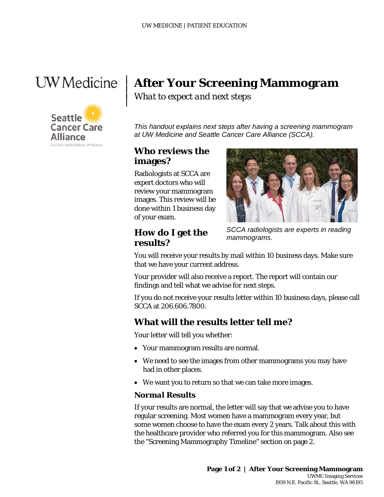



 $\mathbf{I}$ 

# **After Your Screening Mammogram**

*What to expect and next steps*

*This handout explains next steps after having a screening mammogram at UW Medicine and Seattle Cancer Care Alliance (SCCA).*

#### **Who reviews the images?**

Radiologists at SCCA are expert doctors who will review your mammogram images. This review will be done within 1 business day of your exam.



### **How do I get the results?**

*SCCA radiologists are experts in reading mammograms.*

You will receive your results by mail within 10 business days. Make sure that we have your current address.

Your provider will also receive a report. The report will contain our findings and tell what we advise for next steps.

If you do not receive your results letter within 10 business days, please call SCCA at 206.606.7800.

#### **What will the results letter tell me?**

Your letter will tell you whether:

• Your mammogram results are normal.

 $\_$  ,  $\_$  ,  $\_$  ,  $\_$  ,  $\_$  ,  $\_$  ,  $\_$  ,  $\_$  ,  $\_$  ,  $\_$  ,  $\_$  ,  $\_$  ,  $\_$  ,  $\_$  ,  $\_$  ,  $\_$  ,  $\_$  ,  $\_$  ,  $\_$  ,  $\_$  ,  $\_$  ,  $\_$  ,  $\_$  ,  $\_$  ,  $\_$  ,  $\_$  ,  $\_$  ,  $\_$  ,  $\_$  ,  $\_$  ,  $\_$  ,  $\_$  ,  $\_$  ,  $\_$  ,  $\_$  ,  $\_$  ,  $\_$  ,

- We need to see the images from other mammograms you may have had in other places.
- We want you to return so that we can take more images.

#### *Normal Results*

If your results are normal, the letter will say that we advise you to have regular screening. Most women have a mammogram every year, but some women choose to have the exam every 2 years. Talk about this with the healthcare provider who referred you for this mammogram. Also see the "Screening Mammography Timeline" section on page 2.